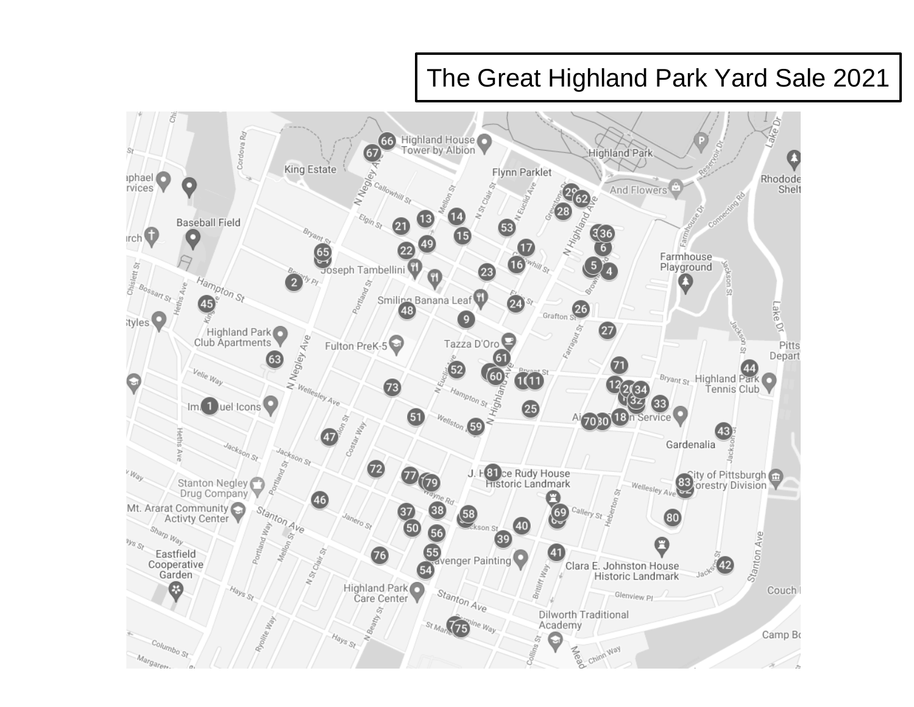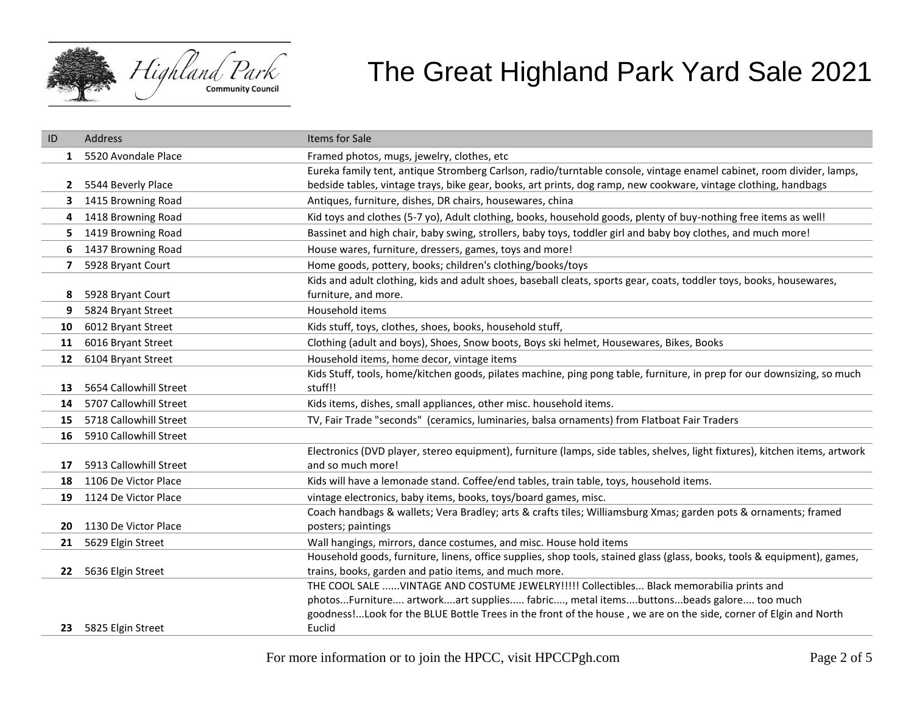

| ID           | Address                | Items for Sale                                                                                                                                                                    |
|--------------|------------------------|-----------------------------------------------------------------------------------------------------------------------------------------------------------------------------------|
| 1            | 5520 Avondale Place    | Framed photos, mugs, jewelry, clothes, etc                                                                                                                                        |
|              |                        | Eureka family tent, antique Stromberg Carlson, radio/turntable console, vintage enamel cabinet, room divider, lamps,                                                              |
| $\mathbf{2}$ | 5544 Beverly Place     | bedside tables, vintage trays, bike gear, books, art prints, dog ramp, new cookware, vintage clothing, handbags                                                                   |
| 3            | 1415 Browning Road     | Antiques, furniture, dishes, DR chairs, housewares, china                                                                                                                         |
| 4            | 1418 Browning Road     | Kid toys and clothes (5-7 yo), Adult clothing, books, household goods, plenty of buy-nothing free items as well!                                                                  |
| 5            | 1419 Browning Road     | Bassinet and high chair, baby swing, strollers, baby toys, toddler girl and baby boy clothes, and much more!                                                                      |
| 6            | 1437 Browning Road     | House wares, furniture, dressers, games, toys and more!                                                                                                                           |
| 7            | 5928 Bryant Court      | Home goods, pottery, books; children's clothing/books/toys                                                                                                                        |
|              |                        | Kids and adult clothing, kids and adult shoes, baseball cleats, sports gear, coats, toddler toys, books, housewares,                                                              |
| 8            | 5928 Bryant Court      | furniture, and more.                                                                                                                                                              |
| 9            | 5824 Bryant Street     | Household items                                                                                                                                                                   |
| 10           | 6012 Bryant Street     | Kids stuff, toys, clothes, shoes, books, household stuff,                                                                                                                         |
| 11           | 6016 Bryant Street     | Clothing (adult and boys), Shoes, Snow boots, Boys ski helmet, Housewares, Bikes, Books                                                                                           |
| 12           | 6104 Bryant Street     | Household items, home decor, vintage items                                                                                                                                        |
|              |                        | Kids Stuff, tools, home/kitchen goods, pilates machine, ping pong table, furniture, in prep for our downsizing, so much                                                           |
| 13           | 5654 Callowhill Street | stuff!!                                                                                                                                                                           |
| 14           | 5707 Callowhill Street | Kids items, dishes, small appliances, other misc. household items.                                                                                                                |
| 15           | 5718 Callowhill Street | TV, Fair Trade "seconds" (ceramics, luminaries, balsa ornaments) from Flatboat Fair Traders                                                                                       |
| 16           | 5910 Callowhill Street |                                                                                                                                                                                   |
|              |                        | Electronics (DVD player, stereo equipment), furniture (lamps, side tables, shelves, light fixtures), kitchen items, artwork                                                       |
| 17           | 5913 Callowhill Street | and so much more!                                                                                                                                                                 |
| 18           | 1106 De Victor Place   | Kids will have a lemonade stand. Coffee/end tables, train table, toys, household items.                                                                                           |
| 19           | 1124 De Victor Place   | vintage electronics, baby items, books, toys/board games, misc.                                                                                                                   |
|              |                        | Coach handbags & wallets; Vera Bradley; arts & crafts tiles; Williamsburg Xmas; garden pots & ornaments; framed                                                                   |
| 20           | 1130 De Victor Place   | posters; paintings                                                                                                                                                                |
| 21           | 5629 Elgin Street      | Wall hangings, mirrors, dance costumes, and misc. House hold items                                                                                                                |
| 22           | 5636 Elgin Street      | Household goods, furniture, linens, office supplies, shop tools, stained glass (glass, books, tools & equipment), games,<br>trains, books, garden and patio items, and much more. |
|              |                        | THE COOL SALE VINTAGE AND COSTUME JEWELRY!!!!! Collectibles Black memorabilia prints and                                                                                          |
|              |                        | photosFurniture artworkart supplies fabric, metal itemsbuttonsbeads galore too much                                                                                               |
|              |                        | goodness!Look for the BLUE Bottle Trees in the front of the house, we are on the side, corner of Elgin and North                                                                  |
| 23           | 5825 Elgin Street      | Euclid                                                                                                                                                                            |
|              |                        |                                                                                                                                                                                   |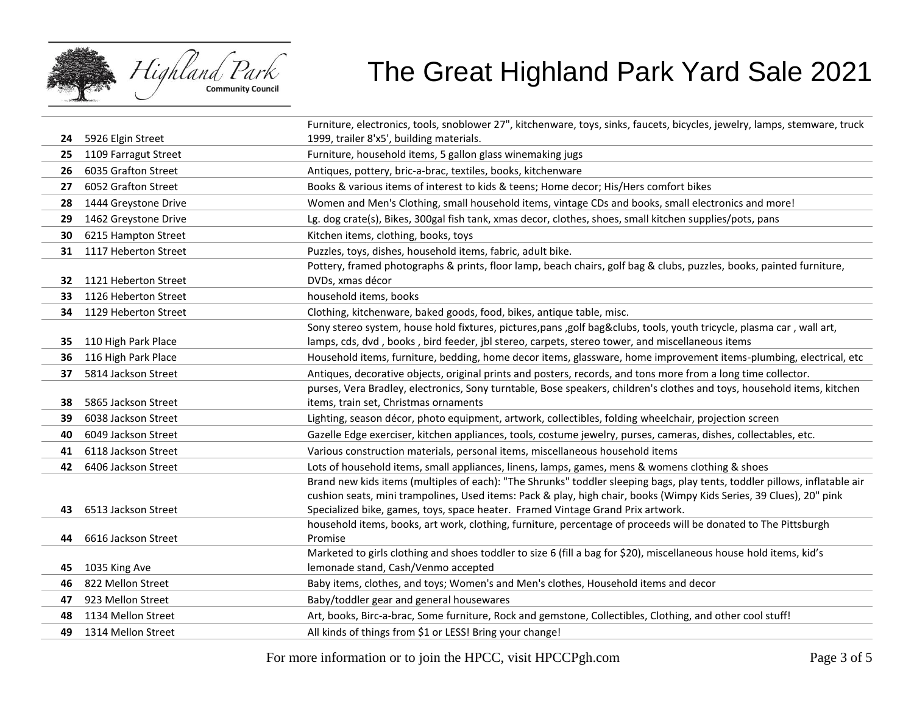

|    |                      | Furniture, electronics, tools, snoblower 27", kitchenware, toys, sinks, faucets, bicycles, jewelry, lamps, stemware, truck                                                                         |
|----|----------------------|----------------------------------------------------------------------------------------------------------------------------------------------------------------------------------------------------|
| 24 | 5926 Elgin Street    | 1999, trailer 8'x5', building materials.                                                                                                                                                           |
| 25 | 1109 Farragut Street | Furniture, household items, 5 gallon glass winemaking jugs                                                                                                                                         |
| 26 | 6035 Grafton Street  | Antiques, pottery, bric-a-brac, textiles, books, kitchenware                                                                                                                                       |
| 27 | 6052 Grafton Street  | Books & various items of interest to kids & teens; Home decor; His/Hers comfort bikes                                                                                                              |
| 28 | 1444 Greystone Drive | Women and Men's Clothing, small household items, vintage CDs and books, small electronics and more!                                                                                                |
| 29 | 1462 Greystone Drive | Lg. dog crate(s), Bikes, 300gal fish tank, xmas decor, clothes, shoes, small kitchen supplies/pots, pans                                                                                           |
| 30 | 6215 Hampton Street  | Kitchen items, clothing, books, toys                                                                                                                                                               |
| 31 | 1117 Heberton Street | Puzzles, toys, dishes, household items, fabric, adult bike.                                                                                                                                        |
|    |                      | Pottery, framed photographs & prints, floor lamp, beach chairs, golf bag & clubs, puzzles, books, painted furniture,                                                                               |
| 32 | 1121 Heberton Street | DVDs, xmas décor                                                                                                                                                                                   |
| 33 | 1126 Heberton Street | household items, books                                                                                                                                                                             |
| 34 | 1129 Heberton Street | Clothing, kitchenware, baked goods, food, bikes, antique table, misc.                                                                                                                              |
|    |                      | Sony stereo system, house hold fixtures, pictures, pans ,golf bag♣, tools, youth tricycle, plasma car, wall art,                                                                                   |
| 35 | 110 High Park Place  | lamps, cds, dvd, books, bird feeder, jbl stereo, carpets, stereo tower, and miscellaneous items                                                                                                    |
| 36 | 116 High Park Place  | Household items, furniture, bedding, home decor items, glassware, home improvement items-plumbing, electrical, etc                                                                                 |
| 37 | 5814 Jackson Street  | Antiques, decorative objects, original prints and posters, records, and tons more from a long time collector.                                                                                      |
|    |                      | purses, Vera Bradley, electronics, Sony turntable, Bose speakers, children's clothes and toys, household items, kitchen                                                                            |
| 38 | 5865 Jackson Street  | items, train set, Christmas ornaments                                                                                                                                                              |
| 39 | 6038 Jackson Street  | Lighting, season décor, photo equipment, artwork, collectibles, folding wheelchair, projection screen                                                                                              |
| 40 | 6049 Jackson Street  | Gazelle Edge exerciser, kitchen appliances, tools, costume jewelry, purses, cameras, dishes, collectables, etc.                                                                                    |
| 41 | 6118 Jackson Street  | Various construction materials, personal items, miscellaneous household items                                                                                                                      |
| 42 | 6406 Jackson Street  | Lots of household items, small appliances, linens, lamps, games, mens & womens clothing & shoes                                                                                                    |
|    |                      | Brand new kids items (multiples of each): "The Shrunks" toddler sleeping bags, play tents, toddler pillows, inflatable air                                                                         |
|    |                      | cushion seats, mini trampolines, Used items: Pack & play, high chair, books (Wimpy Kids Series, 39 Clues), 20" pink                                                                                |
| 43 | 6513 Jackson Street  | Specialized bike, games, toys, space heater. Framed Vintage Grand Prix artwork.<br>household items, books, art work, clothing, furniture, percentage of proceeds will be donated to The Pittsburgh |
| 44 | 6616 Jackson Street  | Promise                                                                                                                                                                                            |
|    |                      | Marketed to girls clothing and shoes toddler to size 6 (fill a bag for \$20), miscellaneous house hold items, kid's                                                                                |
| 45 | 1035 King Ave        | lemonade stand, Cash/Venmo accepted                                                                                                                                                                |
| 46 | 822 Mellon Street    | Baby items, clothes, and toys; Women's and Men's clothes, Household items and decor                                                                                                                |
| 47 | 923 Mellon Street    | Baby/toddler gear and general housewares                                                                                                                                                           |
| 48 | 1134 Mellon Street   | Art, books, Birc-a-brac, Some furniture, Rock and gemstone, Collectibles, Clothing, and other cool stuff!                                                                                          |
| 49 | 1314 Mellon Street   | All kinds of things from \$1 or LESS! Bring your change!                                                                                                                                           |
|    |                      |                                                                                                                                                                                                    |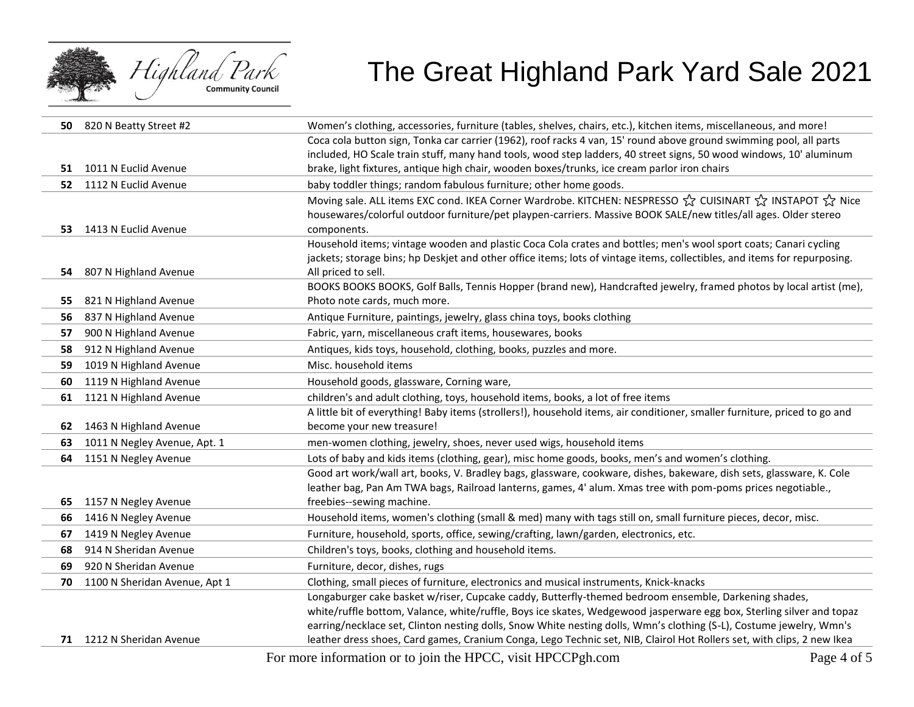

| 50 | 820 N Beatty Street #2        | Women's clothing, accessories, furniture (tables, shelves, chairs, etc.), kitchen items, miscellaneous, and more!                         |
|----|-------------------------------|-------------------------------------------------------------------------------------------------------------------------------------------|
|    |                               | Coca cola button sign, Tonka car carrier (1962), roof racks 4 van, 15' round above ground swimming pool, all parts                        |
|    |                               | included, HO Scale train stuff, many hand tools, wood step ladders, 40 street signs, 50 wood windows, 10' aluminum                        |
| 51 | 1011 N Euclid Avenue          | brake, light fixtures, antique high chair, wooden boxes/trunks, ice cream parlor iron chairs                                              |
| 52 | 1112 N Euclid Avenue          | baby toddler things; random fabulous furniture; other home goods.                                                                         |
|    |                               | Moving sale. ALL items EXC cond. IKEA Corner Wardrobe. KITCHEN: NESPRESSO ☆ CUISINART ☆ INSTAPOT ☆ Nice                                   |
|    |                               | housewares/colorful outdoor furniture/pet playpen-carriers. Massive BOOK SALE/new titles/all ages. Older stereo                           |
| 53 | 1413 N Euclid Avenue          | components.                                                                                                                               |
|    |                               | Household items; vintage wooden and plastic Coca Cola crates and bottles; men's wool sport coats; Canari cycling                          |
|    |                               | jackets; storage bins; hp Deskjet and other office items; lots of vintage items, collectibles, and items for repurposing.                 |
| 54 | 807 N Highland Avenue         | All priced to sell.<br>BOOKS BOOKS BOOKS, Golf Balls, Tennis Hopper (brand new), Handcrafted jewelry, framed photos by local artist (me), |
| 55 | 821 N Highland Avenue         | Photo note cards, much more.                                                                                                              |
| 56 | 837 N Highland Avenue         | Antique Furniture, paintings, jewelry, glass china toys, books clothing                                                                   |
| 57 | 900 N Highland Avenue         | Fabric, yarn, miscellaneous craft items, housewares, books                                                                                |
| 58 | 912 N Highland Avenue         | Antiques, kids toys, household, clothing, books, puzzles and more.                                                                        |
| 59 | 1019 N Highland Avenue        | Misc. household items                                                                                                                     |
| 60 | 1119 N Highland Avenue        | Household goods, glassware, Corning ware,                                                                                                 |
| 61 | 1121 N Highland Avenue        | children's and adult clothing, toys, household items, books, a lot of free items                                                          |
|    |                               | A little bit of everything! Baby items (strollers!), household items, air conditioner, smaller furniture, priced to go and                |
| 62 | 1463 N Highland Avenue        | become your new treasure!                                                                                                                 |
| 63 | 1011 N Negley Avenue, Apt. 1  | men-women clothing, jewelry, shoes, never used wigs, household items                                                                      |
| 64 | 1151 N Negley Avenue          | Lots of baby and kids items (clothing, gear), misc home goods, books, men's and women's clothing.                                         |
|    |                               | Good art work/wall art, books, V. Bradley bags, glassware, cookware, dishes, bakeware, dish sets, glassware, K. Cole                      |
|    |                               | leather bag, Pan Am TWA bags, Railroad lanterns, games, 4' alum. Xmas tree with pom-poms prices negotiable.,                              |
| 65 | 1157 N Negley Avenue          | freebies--sewing machine.                                                                                                                 |
| 66 | 1416 N Negley Avenue          | Household items, women's clothing (small & med) many with tags still on, small furniture pieces, decor, misc.                             |
| 67 | 1419 N Negley Avenue          | Furniture, household, sports, office, sewing/crafting, lawn/garden, electronics, etc.                                                     |
| 68 | 914 N Sheridan Avenue         | Children's toys, books, clothing and household items.                                                                                     |
| 69 | 920 N Sheridan Avenue         | Furniture, decor, dishes, rugs                                                                                                            |
| 70 | 1100 N Sheridan Avenue, Apt 1 | Clothing, small pieces of furniture, electronics and musical instruments, Knick-knacks                                                    |
|    |                               | Longaburger cake basket w/riser, Cupcake caddy, Butterfly-themed bedroom ensemble, Darkening shades,                                      |
|    |                               | white/ruffle bottom, Valance, white/ruffle, Boys ice skates, Wedgewood jasperware egg box, Sterling silver and topaz                      |
|    |                               | earring/necklace set, Clinton nesting dolls, Snow White nesting dolls, Wmn's clothing (S-L), Costume jewelry, Wmn's                       |
|    | 71 1212 N Sheridan Avenue     | leather dress shoes, Card games, Cranium Conga, Lego Technic set, NIB, Clairol Hot Rollers set, with clips, 2 new Ikea                    |

For more information or to join the HPCC, visit HPCCPgh.com Page 4 of 5